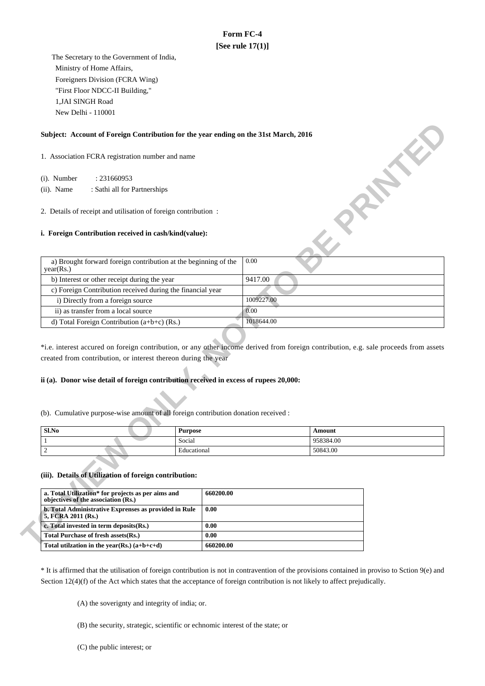# **Form FC-4 [See rule 17(1)]**

 The Secretary to the Government of India, Ministry of Home Affairs, Foreigners Division (FCRA Wing) "First Floor NDCC-II Building," 1,JAI SINGH Road New Delhi - 110001

### **Subject: Account of Foreign Contribution for the year ending on the 31st March, 2016**

### **i. Foreign Contribution received in cash/kind(value):**

| Subject: Account of Foreign Contribution for the year ending on the 31st March, 2016 |            |  |  |  |
|--------------------------------------------------------------------------------------|------------|--|--|--|
| 1. Association FCRA registration number and name                                     |            |  |  |  |
| : 231660953<br>$(i)$ . Number                                                        |            |  |  |  |
| $(ii)$ . Name<br>: Sathi all for Partnerships                                        |            |  |  |  |
| 2. Details of receipt and utilisation of foreign contribution:                       |            |  |  |  |
| <i>i.</i> Foreign Contribution received in cash/kind(value):                         |            |  |  |  |
| a) Brought forward foreign contribution at the beginning of the<br>year(Rs.)         | 0.00       |  |  |  |
| b) Interest or other receipt during the year                                         | 9417.00    |  |  |  |
| c) Foreign Contribution received during the financial year                           |            |  |  |  |
| i) Directly from a foreign source                                                    | 1009227.00 |  |  |  |
| ii) as transfer from a local source                                                  | 0.00       |  |  |  |
| d) Total Foreign Contribution $(a+b+c)$ (Rs.)                                        | 1018644.00 |  |  |  |

\*i.e. interest accured on foreign contribution, or any other income derived from foreign contribution, e.g. sale proceeds from assets created from contribution, or interest thereon during the year

## **ii (a). Donor wise detail of foreign contribution received in excess of rupees 20,000:**

(b). Cumulative purpose-wise amount of all foreign contribution donation received :

| Sl.No | <b>Purpose</b> | Amount    |
|-------|----------------|-----------|
|       | Social         | 958384.00 |
|       | Educational    | 50843.00  |

#### **(iii). Details of Utilization of foreign contribution:**

| a. Total Utilization* for projects as per aims and<br>objectives of the association (Rs.) | 660200.00 |
|-------------------------------------------------------------------------------------------|-----------|
| <b>b. Total Administrative Exprenses as provided in Rule</b><br>5, FCRA 2011 (Rs.)        | 0.00      |
| c. Total invested in term deposits (Rs.)                                                  | 0.00      |
| Total Purchase of fresh assets (Rs.)                                                      | 0.00      |
| Total utilization in the year(Rs.) $(a+b+c+d)$                                            | 660200.00 |

\* It is affirmed that the utilisation of foreign contribution is not in contravention of the provisions contained in proviso to Sction 9(e) and Section 12(4)(f) of the Act which states that the acceptance of foreign contribution is not likely to affect prejudically.

(A) the soverignty and integrity of india; or.

(B) the security, strategic, scientific or echnomic interest of the state; or

(C) the public interest; or